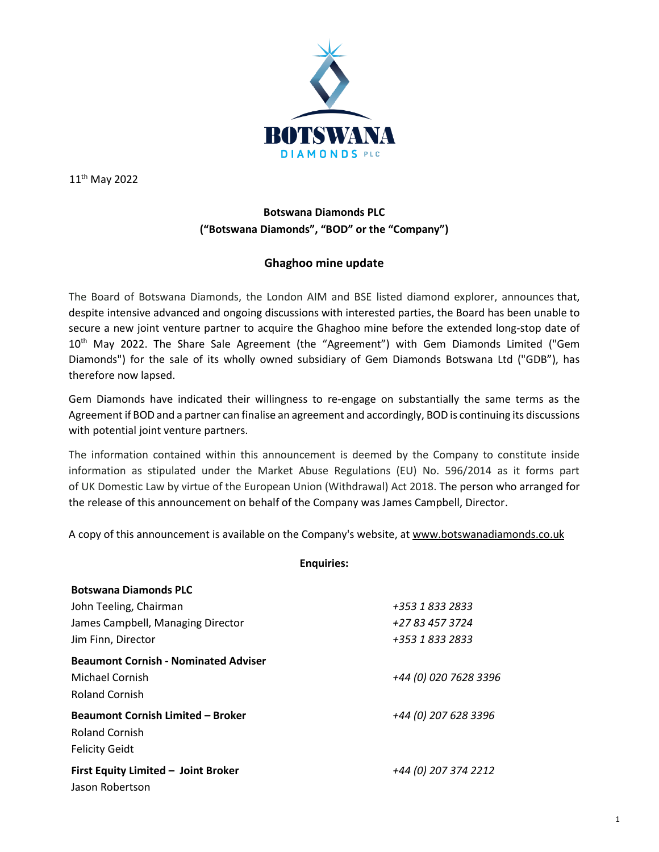

11th May 2022

## **Botswana Diamonds PLC ("Botswana Diamonds", "BOD" or the "Company")**

## **Ghaghoo mine update**

The Board of Botswana Diamonds, the London AIM and BSE listed diamond explorer, announces that, despite intensive advanced and ongoing discussions with interested parties, the Board has been unable to secure a new joint venture partner to acquire the Ghaghoo mine before the extended long-stop date of 10<sup>th</sup> May 2022. The Share Sale Agreement (the "Agreement") with Gem Diamonds Limited ("Gem Diamonds") for the sale of its wholly owned subsidiary of Gem Diamonds Botswana Ltd ("GDB"), has therefore now lapsed.

Gem Diamonds have indicated their willingness to re-engage on substantially the same terms as the Agreement if BOD and a partner can finalise an agreement and accordingly, BOD is continuing its discussions with potential joint venture partners.

The information contained within this announcement is deemed by the Company to constitute inside information as stipulated under the Market Abuse Regulations (EU) No. 596/2014 as it forms part of UK Domestic Law by virtue of the European Union (Withdrawal) Act 2018. The person who arranged for the release of this announcement on behalf of the Company was James Campbell, Director.

A copy of this announcement is available on the Company's website, a[t www.botswanadiamonds.co.uk](http://www.botswanadiamonds.co.uk/)

| <b>Botswana Diamonds PLC</b>                |                       |
|---------------------------------------------|-----------------------|
| John Teeling, Chairman                      | +353 1 833 2833       |
| James Campbell, Managing Director           | +27 83 457 3724       |
| Jim Finn, Director                          | +353 1 833 2833       |
| <b>Beaumont Cornish - Nominated Adviser</b> |                       |
| Michael Cornish                             | +44 (0) 020 7628 3396 |
| <b>Roland Cornish</b>                       |                       |
| <b>Beaumont Cornish Limited - Broker</b>    | +44 (0) 207 628 3396  |
| Roland Cornish                              |                       |
| <b>Felicity Geidt</b>                       |                       |
| First Equity Limited - Joint Broker         | +44 (0) 207 374 2212  |
| Jason Robertson                             |                       |

## **Enquiries:**